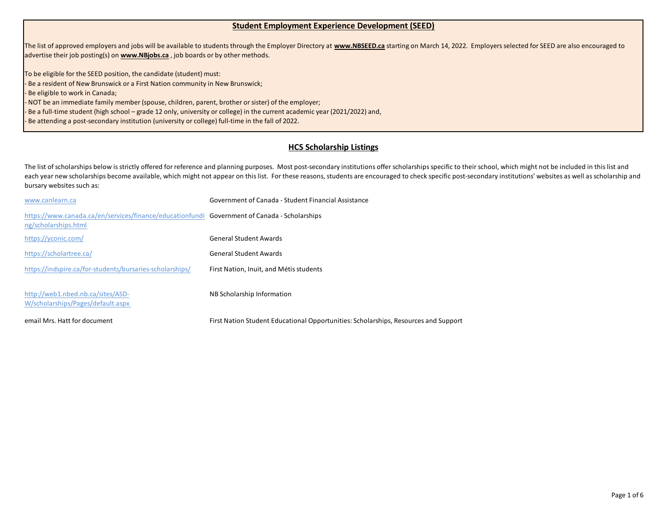## **Student Employment Experience Development (SEED)**

The list of approved employers and jobs will be available to students through the Employer Directory at **www.NBSEED.ca** starting on March 14, 2022. Employers selected for SEED are also encouraged to advertise their job posting(s) on **www.NBjobs.ca** , job boards or by other methods.

To be eligible for the SEED position, the candidate (student) must:

- Be a resident of New Brunswick or a First Nation community in New Brunswick;

Be eligible to work in Canada;

- NOT be an immediate family member (spouse, children, parent, brother or sister) of the employer;

- Be a full-time student (high school – grade 12 only, university or college) in the current academic year (2021/2022) and,

- Be attending a post-secondary institution (university or college) full-time in the fall of 2022.

## **HCS Scholarship Listings**

The list of scholarships below is strictly offered for reference and planning purposes. Most post-secondary institutions offer scholarships specific to their school, which might not be included in this list and each year new scholarships become available, which might not appear on this list. For these reasons, students are encouraged to check specific post-secondary institutions' websites as well as scholarship and bursary websites such as:

| www.canlearn.ca                                                                                                      | Government of Canada - Student Financial Assistance                                 |
|----------------------------------------------------------------------------------------------------------------------|-------------------------------------------------------------------------------------|
| https://www.canada.ca/en/services/finance/educationfundi Government of Canada - Scholarships<br>ng/scholarships.html |                                                                                     |
| https://yconic.com/                                                                                                  | <b>General Student Awards</b>                                                       |
| https://scholartree.ca/                                                                                              | <b>General Student Awards</b>                                                       |
| https://indspire.ca/for-students/bursaries-scholarships/                                                             | First Nation, Inuit, and Métis students                                             |
| http://web1.nbed.nb.ca/sites/ASD-<br>W/scholarships/Pages/default.aspx                                               | NB Scholarship Information                                                          |
| email Mrs. Hatt for document                                                                                         | First Nation Student Educational Opportunities: Scholarships, Resources and Support |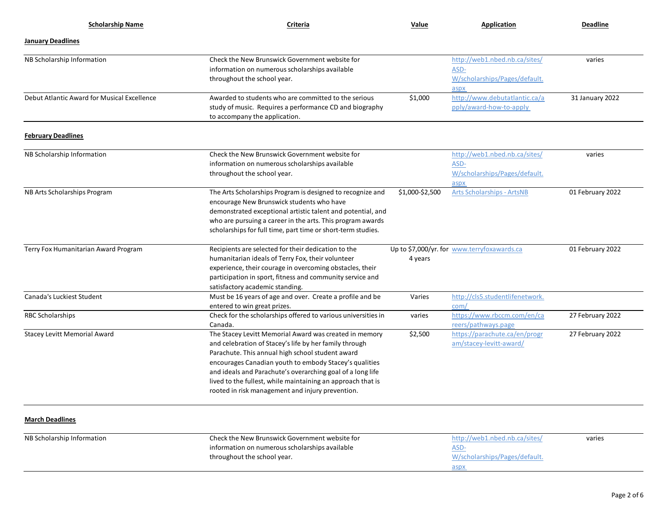| <b>Scholarship Name</b>                     | Criteria                                                                                                                                                                                                                                                                                                                                                                                                        | Value           | <b>Application</b>                                                             | <b>Deadline</b>  |
|---------------------------------------------|-----------------------------------------------------------------------------------------------------------------------------------------------------------------------------------------------------------------------------------------------------------------------------------------------------------------------------------------------------------------------------------------------------------------|-----------------|--------------------------------------------------------------------------------|------------------|
| <b>January Deadlines</b>                    |                                                                                                                                                                                                                                                                                                                                                                                                                 |                 |                                                                                |                  |
| NB Scholarship Information                  | Check the New Brunswick Government website for<br>information on numerous scholarships available<br>throughout the school year.                                                                                                                                                                                                                                                                                 |                 | http://web1.nbed.nb.ca/sites/<br>ASD-<br>W/scholarships/Pages/default.<br>aspx | varies           |
| Debut Atlantic Award for Musical Excellence | Awarded to students who are committed to the serious<br>study of music. Requires a performance CD and biography<br>to accompany the application.                                                                                                                                                                                                                                                                | \$1,000         | http://www.debutatlantic.ca/a<br>pply/award-how-to-apply                       | 31 January 2022  |
| <b>February Deadlines</b>                   |                                                                                                                                                                                                                                                                                                                                                                                                                 |                 |                                                                                |                  |
| NB Scholarship Information                  | Check the New Brunswick Government website for<br>information on numerous scholarships available<br>throughout the school year.                                                                                                                                                                                                                                                                                 |                 | http://web1.nbed.nb.ca/sites/<br>ASD-<br>W/scholarships/Pages/default.<br>aspx | varies           |
| NB Arts Scholarships Program                | The Arts Scholarships Program is designed to recognize and<br>encourage New Brunswick students who have<br>demonstrated exceptional artistic talent and potential, and<br>who are pursuing a career in the arts. This program awards<br>scholarships for full time, part time or short-term studies.                                                                                                            | \$1,000-\$2,500 | <b>Arts Scholarships - ArtsNB</b>                                              | 01 February 2022 |
| Terry Fox Humanitarian Award Program        | Recipients are selected for their dedication to the<br>humanitarian ideals of Terry Fox, their volunteer<br>experience, their courage in overcoming obstacles, their<br>participation in sport, fitness and community service and<br>satisfactory academic standing.                                                                                                                                            | 4 years         | Up to \$7,000/yr. for www.terryfoxawards.ca                                    | 01 February 2022 |
| Canada's Luckiest Student                   | Must be 16 years of age and over. Create a profile and be<br>entered to win great prizes.                                                                                                                                                                                                                                                                                                                       | Varies          | http://cls5.studentlifenetwork.<br>com/                                        |                  |
| <b>RBC Scholarships</b>                     | Check for the scholarships offered to various universities in<br>Canada.                                                                                                                                                                                                                                                                                                                                        | varies          | https://www.rbccm.com/en/ca<br>reers/pathways.page                             | 27 February 2022 |
| <b>Stacey Levitt Memorial Award</b>         | The Stacey Levitt Memorial Award was created in memory<br>and celebration of Stacey's life by her family through<br>Parachute. This annual high school student award<br>encourages Canadian youth to embody Stacey's qualities<br>and ideals and Parachute's overarching goal of a long life<br>lived to the fullest, while maintaining an approach that is<br>rooted in risk management and injury prevention. | \$2,500         | https://parachute.ca/en/progr<br>am/stacey-levitt-award/                       | 27 February 2022 |
| <b>March Deadlines</b>                      |                                                                                                                                                                                                                                                                                                                                                                                                                 |                 |                                                                                |                  |
| NB Scholarship Information                  | Check the New Brunswick Government website for<br>information on numerous scholarships available<br>throughout the school year.                                                                                                                                                                                                                                                                                 |                 | http://web1.nbed.nb.ca/sites/<br>ASD-<br>W/scholarships/Pages/default.<br>aspx | varies           |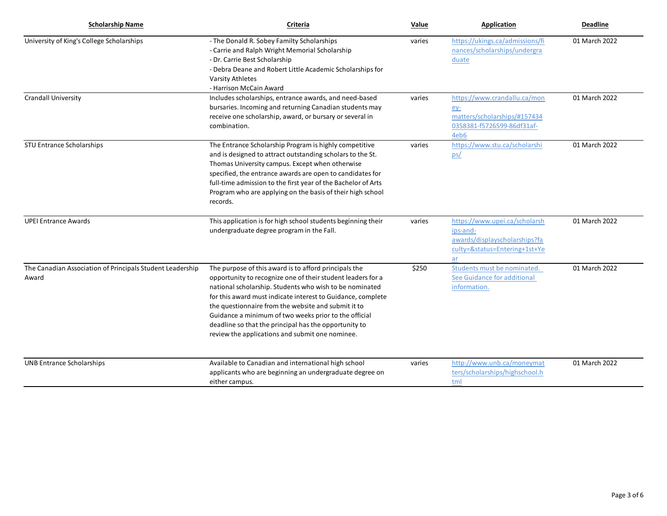| <b>Scholarship Name</b>                                            | Criteria                                                                                                                                                                                                                                                                                                                                                                                                                                                                   | Value  | <b>Application</b>                                                                                                | <b>Deadline</b> |
|--------------------------------------------------------------------|----------------------------------------------------------------------------------------------------------------------------------------------------------------------------------------------------------------------------------------------------------------------------------------------------------------------------------------------------------------------------------------------------------------------------------------------------------------------------|--------|-------------------------------------------------------------------------------------------------------------------|-----------------|
| University of King's College Scholarships                          | - The Donald R. Sobey Familty Scholarships<br>- Carrie and Ralph Wright Memorial Scholarship<br>- Dr. Carrie Best Scholarship<br>- Debra Deane and Robert Little Academic Scholarships for<br><b>Varsity Athletes</b><br>- Harrison McCain Award                                                                                                                                                                                                                           | varies | https://ukings.ca/admissions/fi<br>nances/scholarships/undergra<br>duate                                          | 01 March 2022   |
| <b>Crandall University</b>                                         | Includes scholarships, entrance awards, and need-based<br>bursaries. Incoming and returning Canadian students may<br>receive one scholarship, award, or bursary or several in<br>combination.                                                                                                                                                                                                                                                                              | varies | https://www.crandallu.ca/mon<br><u>ey-</u><br>matters/scholarships/#157434<br>0358381-f5726599-86df31af-<br>4eb6  | 01 March 2022   |
| <b>STU Entrance Scholarships</b>                                   | The Entrance Scholarship Program is highly competitive<br>and is designed to attract outstanding scholars to the St.<br>Thomas University campus. Except when otherwise<br>specified, the entrance awards are open to candidates for<br>full-time admission to the first year of the Bachelor of Arts<br>Program who are applying on the basis of their high school<br>records.                                                                                            | varies | https://www.stu.ca/scholarshi<br>ps/                                                                              | 01 March 2022   |
| <b>UPEI Entrance Awards</b>                                        | This application is for high school students beginning their<br>undergraduate degree program in the Fall.                                                                                                                                                                                                                                                                                                                                                                  | varies | https://www.upei.ca/scholarsh<br>ips-and-<br>awards/displayscholarships?fa<br>culty=&status=Entering+1st+Ye<br>ar | 01 March 2022   |
| The Canadian Association of Principals Student Leadership<br>Award | The purpose of this award is to afford principals the<br>opportunity to recognize one of their student leaders for a<br>national scholarship. Students who wish to be nominated<br>for this award must indicate interest to Guidance, complete<br>the questionnaire from the website and submit it to<br>Guidance a minimum of two weeks prior to the official<br>deadline so that the principal has the opportunity to<br>review the applications and submit one nominee. | \$250  | Students must be nominated.<br>See Guidance for additional<br>information.                                        | 01 March 2022   |
| <b>UNB Entrance Scholarships</b>                                   | Available to Canadian and international high school<br>applicants who are beginning an undergraduate degree on<br>either campus.                                                                                                                                                                                                                                                                                                                                           | varies | http://www.unb.ca/moneymat<br>ters/scholarships/highschool.h<br>tml                                               | 01 March 2022   |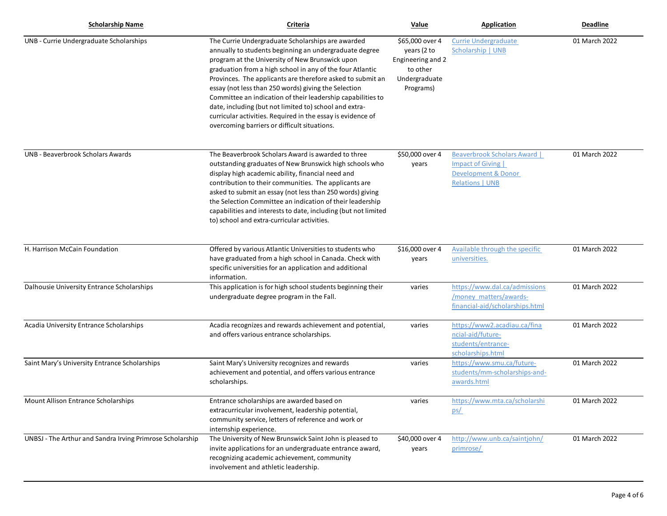| <b>Scholarship Name</b>                                   | Criteria                                                                                                                                                                                                                                                                                                                                                                                                                                                                                                                                                                                  | Value                                                                                         | <b>Application</b>                                                                                                  | Deadline      |
|-----------------------------------------------------------|-------------------------------------------------------------------------------------------------------------------------------------------------------------------------------------------------------------------------------------------------------------------------------------------------------------------------------------------------------------------------------------------------------------------------------------------------------------------------------------------------------------------------------------------------------------------------------------------|-----------------------------------------------------------------------------------------------|---------------------------------------------------------------------------------------------------------------------|---------------|
| UNB - Currie Undergraduate Scholarships                   | The Currie Undergraduate Scholarships are awarded<br>annually to students beginning an undergraduate degree<br>program at the University of New Brunswick upon<br>graduation from a high school in any of the four Atlantic<br>Provinces. The applicants are therefore asked to submit an<br>essay (not less than 250 words) giving the Selection<br>Committee an indication of their leadership capabilities to<br>date, including (but not limited to) school and extra-<br>curricular activities. Required in the essay is evidence of<br>overcoming barriers or difficult situations. | \$65,000 over 4<br>years (2 to<br>Engineering and 2<br>to other<br>Undergraduate<br>Programs) | <b>Currie Undergraduate</b><br>Scholarship   UNB                                                                    | 01 March 2022 |
| UNB - Beaverbrook Scholars Awards                         | The Beaverbrook Scholars Award is awarded to three<br>outstanding graduates of New Brunswick high schools who<br>display high academic ability, financial need and<br>contribution to their communities. The applicants are<br>asked to submit an essay (not less than 250 words) giving<br>the Selection Committee an indication of their leadership<br>capabilities and interests to date, including (but not limited<br>to) school and extra-curricular activities.                                                                                                                    | \$50,000 over 4<br>years                                                                      | Beaverbrook Scholars Award  <br><b>Impact of Giving</b><br><b>Development &amp; Donor</b><br><b>Relations   UNB</b> | 01 March 2022 |
| H. Harrison McCain Foundation                             | Offered by various Atlantic Universities to students who<br>have graduated from a high school in Canada. Check with<br>specific universities for an application and additional<br>information.                                                                                                                                                                                                                                                                                                                                                                                            | \$16,000 over 4<br>years                                                                      | Available through the specific<br>universities.                                                                     | 01 March 2022 |
| Dalhousie University Entrance Scholarships                | This application is for high school students beginning their<br>undergraduate degree program in the Fall.                                                                                                                                                                                                                                                                                                                                                                                                                                                                                 | varies                                                                                        | https://www.dal.ca/admissions<br>/money matters/awards-<br>financial-aid/scholarships.html                          | 01 March 2022 |
| Acadia University Entrance Scholarships                   | Acadia recognizes and rewards achievement and potential,<br>and offers various entrance scholarships.                                                                                                                                                                                                                                                                                                                                                                                                                                                                                     | varies                                                                                        | https://www2.acadiau.ca/fina<br>ncial-aid/future-<br>students/entrance-<br>scholarships.html                        | 01 March 2022 |
| Saint Mary's University Entrance Scholarships             | Saint Mary's University recognizes and rewards<br>achievement and potential, and offers various entrance<br>scholarships.                                                                                                                                                                                                                                                                                                                                                                                                                                                                 | varies                                                                                        | https://www.smu.ca/future-<br>students/mm-scholarships-and-<br>awards.html                                          | 01 March 2022 |
| Mount Allison Entrance Scholarships                       | Entrance scholarships are awarded based on<br>extracurricular involvement, leadership potential,<br>community service, letters of reference and work or<br>internship experience.                                                                                                                                                                                                                                                                                                                                                                                                         | varies                                                                                        | https://www.mta.ca/scholarshi<br>ps/                                                                                | 01 March 2022 |
| UNBSJ - The Arthur and Sandra Irving Primrose Scholarship | The University of New Brunswick Saint John is pleased to<br>invite applications for an undergraduate entrance award,<br>recognizing academic achievement, community<br>involvement and athletic leadership.                                                                                                                                                                                                                                                                                                                                                                               | \$40,000 over 4<br>years                                                                      | http://www.unb.ca/saintjohn/<br>primrose/                                                                           | 01 March 2022 |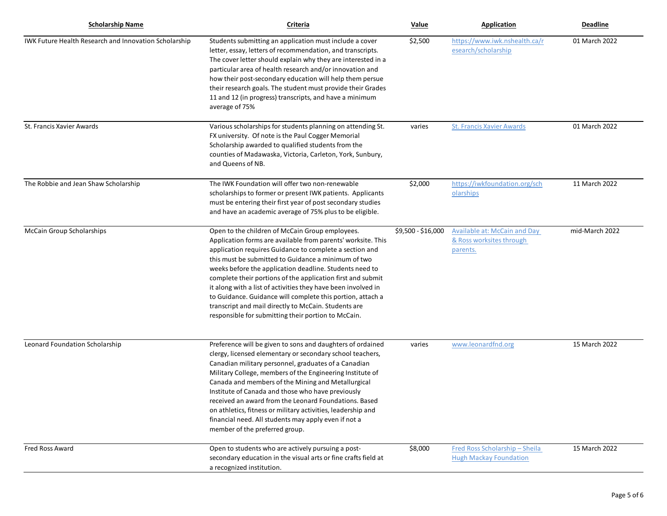| <b>Scholarship Name</b>                               | Criteria                                                                                                                                                                                                                                                                                                                                                                                                                                                                                                                                                                                                  | Value              | <b>Application</b>                                                          | <b>Deadline</b> |
|-------------------------------------------------------|-----------------------------------------------------------------------------------------------------------------------------------------------------------------------------------------------------------------------------------------------------------------------------------------------------------------------------------------------------------------------------------------------------------------------------------------------------------------------------------------------------------------------------------------------------------------------------------------------------------|--------------------|-----------------------------------------------------------------------------|-----------------|
| IWK Future Health Research and Innovation Scholarship | Students submitting an application must include a cover<br>letter, essay, letters of recommendation, and transcripts.<br>The cover letter should explain why they are interested in a<br>particular area of health research and/or innovation and<br>how their post-secondary education will help them persue<br>their research goals. The student must provide their Grades<br>11 and 12 (in progress) transcripts, and have a minimum<br>average of 75%                                                                                                                                                 | \$2,500            | https://www.iwk.nshealth.ca/r<br>esearch/scholarship                        | 01 March 2022   |
| St. Francis Xavier Awards                             | Various scholarships for students planning on attending St.<br>FX university. Of note is the Paul Cogger Memorial<br>Scholarship awarded to qualified students from the<br>counties of Madawaska, Victoria, Carleton, York, Sunbury,<br>and Queens of NB.                                                                                                                                                                                                                                                                                                                                                 | varies             | <b>St. Francis Xavier Awards</b>                                            | 01 March 2022   |
| The Robbie and Jean Shaw Scholarship                  | The IWK Foundation will offer two non-renewable<br>scholarships to former or present IWK patients. Applicants<br>must be entering their first year of post secondary studies<br>and have an academic average of 75% plus to be eligible.                                                                                                                                                                                                                                                                                                                                                                  | \$2,000            | https://iwkfoundation.org/sch<br>olarships                                  | 11 March 2022   |
| <b>McCain Group Scholarships</b>                      | Open to the children of McCain Group employees.<br>Application forms are available from parents' worksite. This<br>application requires Guidance to complete a section and<br>this must be submitted to Guidance a minimum of two<br>weeks before the application deadline. Students need to<br>complete their portions of the application first and submit<br>it along with a list of activities they have been involved in<br>to Guidance. Guidance will complete this portion, attach a<br>transcript and mail directly to McCain. Students are<br>responsible for submitting their portion to McCain. | \$9,500 - \$16,000 | <b>Available at: McCain and Day</b><br>& Ross worksites through<br>parents. | mid-March 2022  |
| Leonard Foundation Scholarship                        | Preference will be given to sons and daughters of ordained<br>clergy, licensed elementary or secondary school teachers,<br>Canadian military personnel, graduates of a Canadian<br>Military College, members of the Engineering Institute of<br>Canada and members of the Mining and Metallurgical<br>Institute of Canada and those who have previously<br>received an award from the Leonard Foundations. Based<br>on athletics, fitness or military activities, leadership and<br>financial need. All students may apply even if not a<br>member of the preferred group.                                | varies             | www.leonardfnd.org                                                          | 15 March 2022   |
| <b>Fred Ross Award</b>                                | Open to students who are actively pursuing a post-<br>secondary education in the visual arts or fine crafts field at<br>a recognized institution.                                                                                                                                                                                                                                                                                                                                                                                                                                                         | \$8,000            | Fred Ross Scholarship - Sheila<br><b>Hugh Mackay Foundation</b>             | 15 March 2022   |